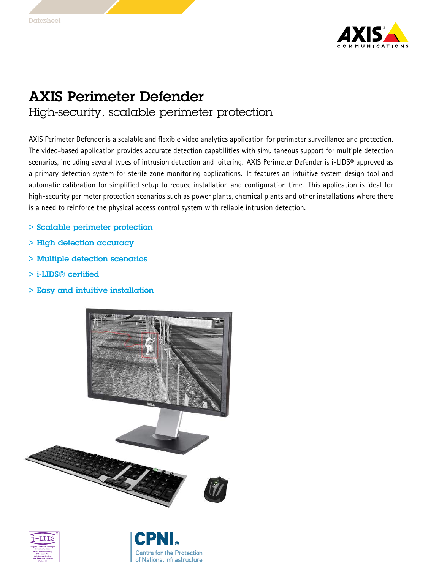

## AXIS Perimeter Defender High-security, scalable perimeter protection

AXIS Perimeter Defender is <sup>a</sup> scalable and flexible video analytics application for perimeter surveillance and protection. The video-based application provides accurate detection capabilities with simultaneous support for multiple detection scenarios, including several types of intrusion detection and loitering. AXIS Perimeter Defender is i-LIDS® approved as <sup>a</sup> primary detection system for sterile zone monitoring applications. It features an intuitive system design tool and automatic calibration for simplified setup to reduce installation and configuration time. This application is ideal for high-security perimeter protection scenarios such as power plants, chemical plants and other installations where there is <sup>a</sup> need to reinforce the physical access control system with reliable intrusion detection.

- > Scalable perimeter protection
- > High detection accuracy
- > Multiple detection scenarios
- > i-LIDS® certified
- $>$  Easy and intuitive installation